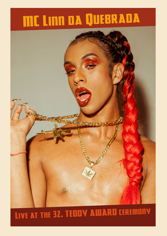# MC LINN DA QUEBRADA



## LIVE AT THE 32. TEDDY AWARD CEREMONY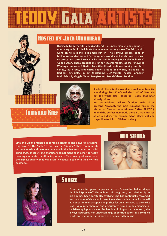

#### **HOSTED BY JACK WOODHEAD**

**Originally from the UK, Jack Woodhead is a singer, pianist, and composer, now living in Berlin. Jack hosts the renowned variety show 'The Trip', which went on to a highly acclaimed run in 'The Famous Spiegel Tent' in Melbourne, and all around Germany. Jack Woodhead has also written musical scores and starred in several hit musicals including 'Der Helle Wahnsinn', 'Seifen Oper'. These productions ran for several months at the renowned Wintergarten Varieté Berlin. Jack Woodhead continues to sing and host varieté, burlesque, and circus shows around the world, including the Berliner Festspiele, Tipi am Kanzleramt, GOP Varieté-Theater Hannover, Mein Schiff 1, Maggie Choo's Bangkok and Proud Cabaret London.** 



**She looks like a Knef, moves like a Knef, mumbles like a Knef, sings like a Knef - well she is a Knef. Naturally not the world star Hildegarde - sadly that Knef already left us.**

**But second-born: Hilde's fictitious twin sister. Irmgard, "probably the most explosive find in the history of German entertainment" (Der SPIEGEL). Behind the perfect mascerade there is a man dressed as an old diva. The german actor, playwright and stage-director Ulrich Michael Heissig.**

**Sina and Vienna manage to combine elegance and power in a fascinating way. On the "pole" as well as the "air ring", they communicate without words and savor every second in the deepest connection. With blind trust, these strong characters compliment each other perfectly, creating moments of enthralling intensity. Two novel performances of the highest quality, that will instantly captivate you with their mystical aesthetics.**







© Carolin Saage

**IRMGARD KNEF** 

#### **SOOKEE**

**Over the last ten years, rapper and activist Sookee has helped shape the label Springstoff. Throughout this long time, her relationship to hip hop has been constantly evolving: she has continually reworked her own point of view and in recent years has made a name for herself as a queer-feminist rapper. She pushes for an alternative to the sexist status-quo in German rap and persistently strives for an emancipatory, left-wing hip hop scene. Sookee is a hip hop activist - as such, she always addresses her understanding of contradictions in a complex world and marks her self-image as a convinced feminist.**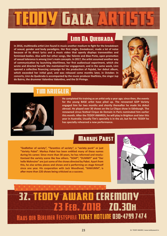#### **LINN DA QUEBRADA**

**In 2016, multimedia artist Linn found in music another medium to fight for the breakdown of sexual, gender and body paradigms. Her first single,** *Enviadescer***, made a lot of noise because of its direct lyrics and a music video that openly displays transvestites and feminized bodies. Also with her other songs, like** *Talento* **and** *Bixa Preta***, open promotion of sexual tolerance is among Linn's main concepts. In 2017, the artist assumed another way of communication by launching** *blasFêmea***, her first audiovisual experiment, which she wrote and directed herself. She maintained her engagement, and in the same week, Linn opened a collective financing campaign for the production of** *Pajubá***, her debut album, which exceeded her initial goal, and was released some months later, in October. In concerts, Linn da Quebrada is accompanied by the music producer BadSista, the singer Jup do Bairro, the drummer Valentino Valentino, and the DJ Pininga.**



|霧|

#### **TIM KRIEGLER**

© Robert Pater

**He completed his training as an artist only a year ago; since then, the events for the young BASE artist have piled up. The renowned GOP Variety engaged him for two months and shortly thereafter he made his debut abroad. He played over 30 shows on the La Clique show in Edinburgh. The renowned circus festival Cirque de Demain in Paris nominated him earlier this month. After the TEDDY AWARDS, he will play in Brighton and later this year in Australia. Usually Tim's specialty is in the air, but for the TEDDY he has specially rehearsed a new performance.**

#### **MARKUS PABST**

**"Godfather of variety", "Tarantino of variety", a "variety punk" or just "Variety Pabst". Markus Pabst has been entitled many of these names during his career. Since more than 30 years, he has reformed and revolutionised the variety scene like few others. "SOAP", "DUMMY" and "Der helle Wahnsinn" are just some of the shows directed by Pabst. Apart from this, he also writes pieces and shows and is performing on stage himself since one year. His cooperation with Jack Woodhead, "KAWUMM", is after more than 220 shows being criticised as a success.**



### **37. TEDDY AWARD CEREMONY 73 FEB 70 8 70.30H HAUS DER BERLINER FESTSPIELE TICKET HOTLINE 030-4799 7474**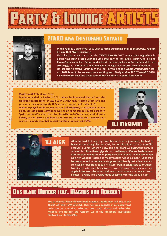

#### **ZFARO AKA ERISTOFARO SALVATO**

**When you see a dancefloor alive with dancing, screaming and smiling people, you can be sure that 2FARO is playing.** 

**Since his last year's set at the the TEDDY AWARD 2017, many other nightclubs in Berlin have been graced with the vibe that only he can instill: Kitkat Club, Suicide Circus, Salon zur wilden Renate and SchwuZ, to name just a few. Further afield, he has scored gigs at La Robeterie in Bologna and the legendary Bronx club in Stockholm. He lost also his festival virginity at the Feel Festival and the Whole United Queerfestival. 2018 is set to be an even more exciting year. Straight after TEDDY AWARD 2018, he will embark on a two-week tour of Brazil with his DJ peers from Berlin.**

**Mashyno AKA Stephane Peyre Mashyno landed in Berlin in 2011 where he immersed himself into the** 

**electronic music scene. In 2013 with 2FARO, they created Crush and one year later the glorious party G Day where they are still residents DJ. Mashyno played Berlin venues such as Wilde Renate, Griessmuehle, About blank, Suicide Circus, Schwuz as well as on some famous queer parties in Spain, Italy and Sweden. His mixes from House to Techno and a lot of genre fluidity as Nu Disco, Deep house and Acid House bring the audience to a cosmic trip and share that special vibration Humans call LOVE.**

**MASHYNO** 



**After he had lost any joy from his work as a journalist, he had to become something else. In 2007, he got his initial spark at Pornfilm Festival in Berlin, where he saw some excellent VJs during the party. It all went fast from there: gigs abroad, residency at Vienna Jewish queer Kibbutz club and at the men-party Pitbull in Vienna. When somebody asks him what he is doing he mostly replies "video-collages". Clips that he prepares and mixes live on stage and which only last a few seconds. He uses pictures from popular culture, from blockbusters to Youtube. Nothing is safe from his scissors. Layer by layer these pictures are applied one over the other and new combinations are created from scratch – always live, always made specifically for the unique night.**

#### **BLAUE WUNDER FEAT. MAGNUS UND**

**The DJ Duo Das blaue Wunder feat. Magnus und Norbert will play at the TEDDY AFTER SHOW LOUNGE. They will spin decades of collected vinyl delicacies in a musical selection one could almost call eclecticist. Magnus and Norbert are resident DJs at the Kreuzberg institutions Südblock and Möbel Olfe.**